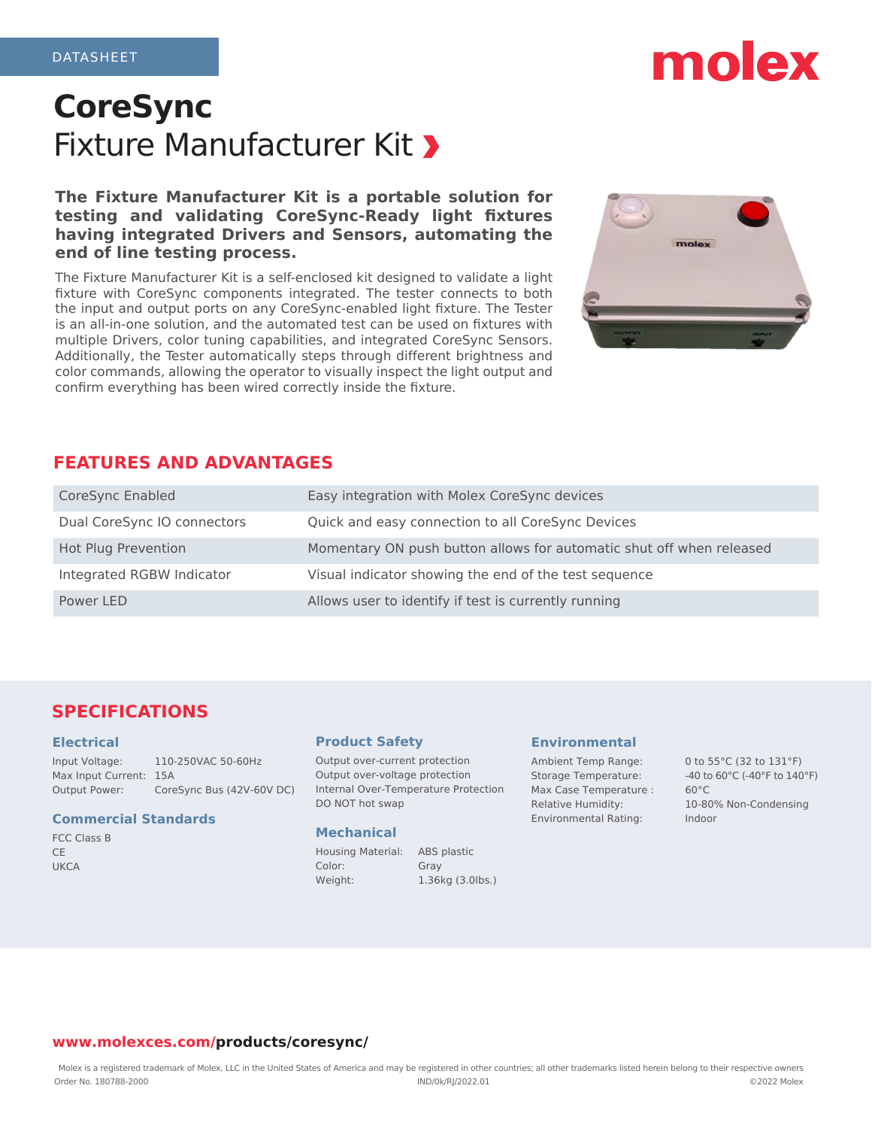# **CoreSync** Fixture Manufacturer Kit >

**The Fixture Manufacturer Kit is a portable solution for testing and validating CoreSync-Ready light fixtures having integrated Drivers and Sensors, automating the end of line testing process.**

The Fixture Manufacturer Kit is a self-enclosed kit designed to validate a light fixture with CoreSync components integrated. The tester connects to both the input and output ports on any CoreSync-enabled light fixture. The Tester is an all-in-one solution, and the automated test can be used on fixtures with multiple Drivers, color tuning capabilities, and integrated CoreSync Sensors. Additionally, the Tester automatically steps through different brightness and color commands, allowing the operator to visually inspect the light output and confirm everything has been wired correctly inside the fixture.



### **FEATURES AND ADVANTAGES**

| CoreSync Enabled            | Easy integration with Molex CoreSync devices                         |
|-----------------------------|----------------------------------------------------------------------|
| Dual CoreSync IO connectors | Quick and easy connection to all CoreSync Devices                    |
| Hot Plug Prevention         | Momentary ON push button allows for automatic shut off when released |
| Integrated RGBW Indicator   | Visual indicator showing the end of the test sequence                |
| Power LED                   | Allows user to identify if test is currently running                 |

### **SPECIFICATIONS**

#### **Electrical**

Input Voltage: 110-250VAC 50-60Hz Max Input Current: 15A Output Power: CoreSync Bus (42V-60V DC)

#### **Commercial Standards**

FCC Class B **CE UKCA** 

#### **Product Safety**

Output over-current protection Output over-voltage protection Internal Over-Temperature Protection DO NOT hot swap

#### **Mechanical**

Housing Material: ABS plastic Color: Gray Weight: 1.36kg (3.0lbs.)

#### **Environmental**

Ambient Temp Range: 0 to 55°C (32 to 131°F) Max Case Temperature : 60°C Relative Humidity: 10-80% Non-Condensing Environmental Rating: Indoor

Storage Temperature: -40 to 60°C (-40°F to 140°F)

#### **www.molexces.com/products/coresync/**

Molex is a registered trademark of Molex, LLC in the United States of America and may be registered in other countries; all other trademarks listed herein belong to their respective owners Order No. 180788-2000 IND/0k/RJ/2022.01 ©2022 Molex

# molex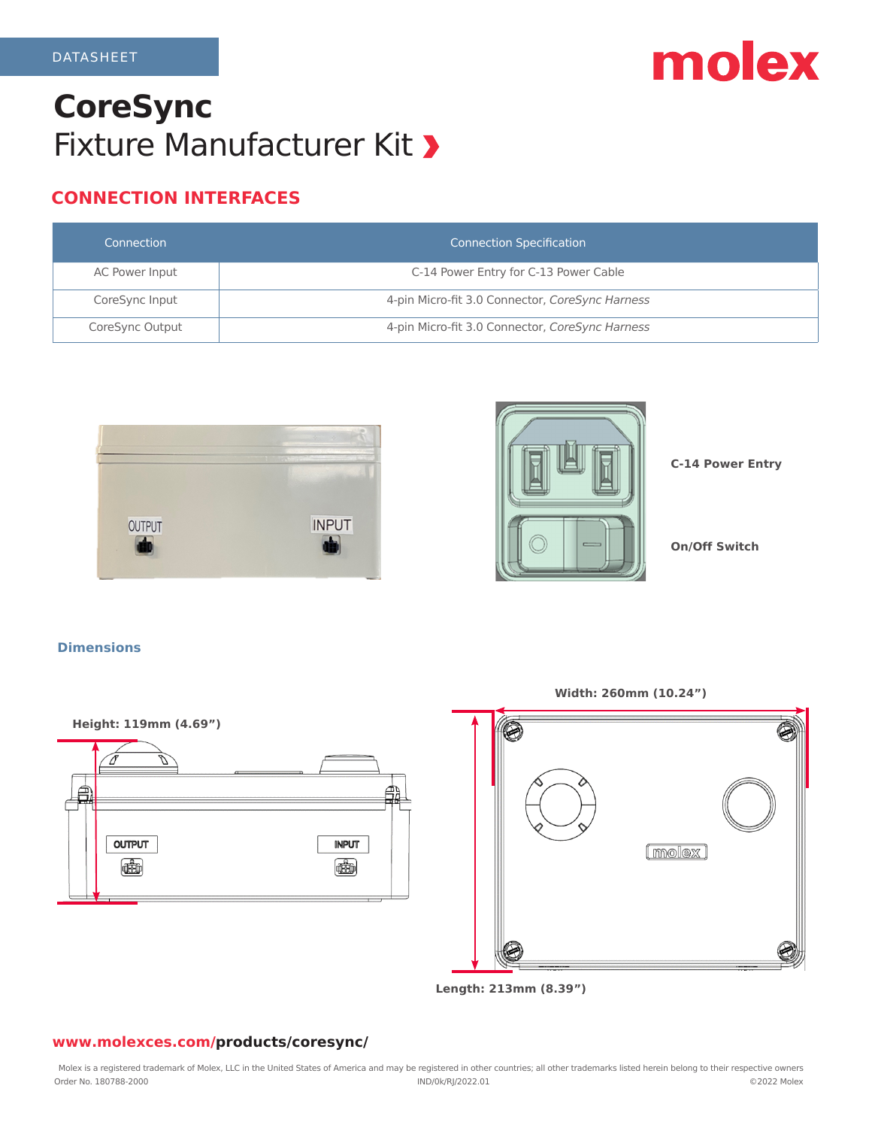# molex

# **CoreSync** Fixture Manufacturer Kit >

## **CONNECTION INTERFACES**

| Connection      | <b>Connection Specification</b>                 |
|-----------------|-------------------------------------------------|
| AC Power Input  | C-14 Power Entry for C-13 Power Cable           |
| CoreSync Input  | 4-pin Micro-fit 3.0 Connector, CoreSync Harness |
| CoreSync Output | 4-pin Micro-fit 3.0 Connector, CoreSync Harness |





**C-14 Power Entry**

**On/Off Switch**

#### **Dimensions**



**Width: 260mm (10.24")**



**Length: 213mm (8.39")**

#### **www.molexces.com/products/coresync/**

Molex is a registered trademark of Molex, LLC in the United States of America and may be registered in other countries; all other trademarks listed herein belong to their respective owners Order No. 180788-2000 IND/0k/RJ/2022.01 ©2022 Molex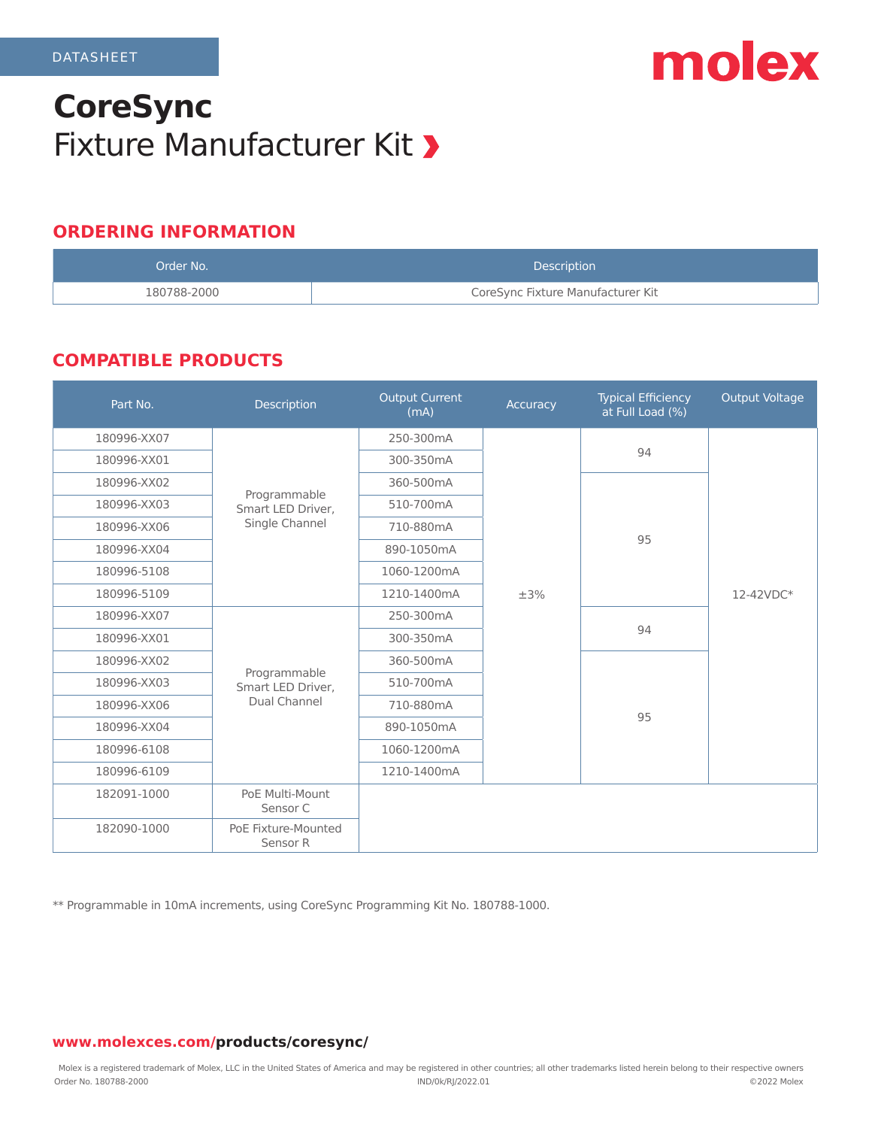

# **CoreSync** Fixture Manufacturer Kit >

### **ORDERING INFORMATION**

| Order No.   | <b>Description</b>                |
|-------------|-----------------------------------|
| 180788-2000 | CoreSync Fixture Manufacturer Kit |

## **COMPATIBLE PRODUCTS**

| Part No.    | Description                                         | <b>Output Current</b><br>(mA) | Accuracy | <b>Typical Efficiency</b><br>at Full Load (%) | <b>Output Voltage</b> |
|-------------|-----------------------------------------------------|-------------------------------|----------|-----------------------------------------------|-----------------------|
| 180996-XX07 | Programmable<br>Smart LED Driver,<br>Single Channel | 250-300mA                     |          | 94                                            | 12-42VDC*             |
| 180996-XX01 |                                                     | 300-350mA                     |          |                                               |                       |
| 180996-XX02 |                                                     | 360-500mA                     | $\pm$ 3% | 95                                            |                       |
| 180996-XX03 |                                                     | 510-700mA                     |          |                                               |                       |
| 180996-XX06 |                                                     | 710-880mA                     |          |                                               |                       |
| 180996-XX04 |                                                     | 890-1050mA                    |          |                                               |                       |
| 180996-5108 |                                                     | 1060-1200mA                   |          |                                               |                       |
| 180996-5109 |                                                     | 1210-1400mA                   |          |                                               |                       |
| 180996-XX07 | Programmable<br>Smart LED Driver,<br>Dual Channel   | 250-300mA                     |          | 94                                            |                       |
| 180996-XX01 |                                                     | 300-350mA                     |          |                                               |                       |
| 180996-XX02 |                                                     | 360-500mA                     |          | 95                                            |                       |
| 180996-XX03 |                                                     | 510-700mA                     |          |                                               |                       |
| 180996-XX06 |                                                     | 710-880mA                     |          |                                               |                       |
| 180996-XX04 |                                                     | 890-1050mA                    |          |                                               |                       |
| 180996-6108 |                                                     | 1060-1200mA                   |          |                                               |                       |
| 180996-6109 |                                                     | 1210-1400mA                   |          |                                               |                       |
| 182091-1000 | PoE Multi-Mount<br>Sensor <sub>C</sub>              |                               |          |                                               |                       |
| 182090-1000 | PoE Fixture-Mounted<br>Sensor R                     |                               |          |                                               |                       |

\*\* Programmable in 10mA increments, using CoreSync Programming Kit No. 180788-1000.

#### **www.molexces.com/products/coresync/**